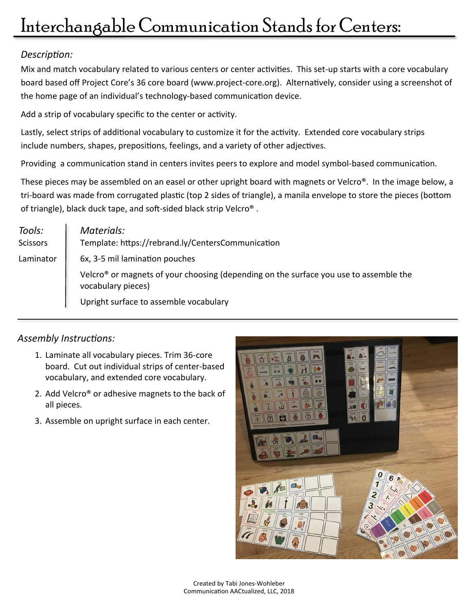## *Description:*

Mix and match vocabulary related to various centers or center activities. This set-up starts with a core vocabulary board based off Project Core's 36 core board (www.project-core.org). Alternatively, consider using a screenshot of the home page of an individual's technology-based communication device.

Add a strip of vocabulary specific to the center or activity.

Lastly, select strips of additional vocabulary to customize it for the activity. Extended core vocabulary strips include numbers, shapes, prepositions, feelings, and a variety of other adjectives.

Providing a communication stand in centers invites peers to explore and model symbol-based communication.

These pieces may be assembled on an easel or other upright board with magnets or Velcro®. In the image below, a tri-board was made from corrugated plastic (top 2 sides of triangle), a manila envelope to store the pieces (bottom of triangle), black duck tape, and soft-sided black strip Velcro® .

| Tools:<br><b>Scissors</b> | Materials:<br>Template: https://rebrand.ly/CentersCommunication                                                         |
|---------------------------|-------------------------------------------------------------------------------------------------------------------------|
| Laminator                 | 6x, 3-5 mil lamination pouches                                                                                          |
|                           | Velcro <sup>®</sup> or magnets of your choosing (depending on the surface you use to assemble the<br>vocabulary pieces) |
|                           | Upright surface to assemble vocabulary                                                                                  |

## *Assembly Instructions:*

- 1. Laminate all vocabulary pieces. Trim 36-core board. Cut out individual strips of center-based vocabulary, and extended core vocabulary.
- 2. Add Velcro® or adhesive magnets to the back of all pieces.
- 3. Assemble on upright surface in each center.

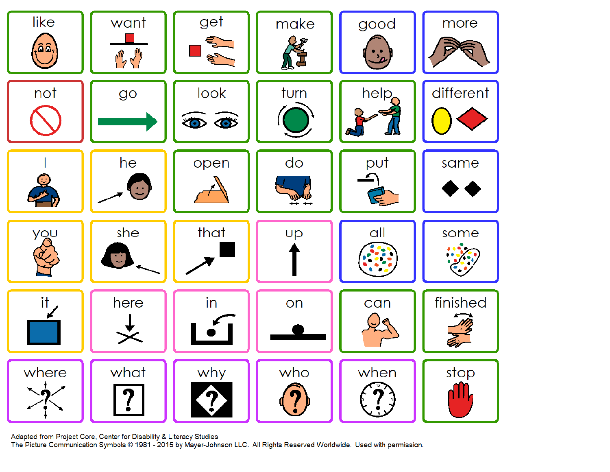

Adapted from Project Core, Center for Disability & Literacy Studies

The Picture Communication Symbols © 1981 - 2015 by Mayer-Johnson LLC. All Rights Reserved Worldwide. Used with permission.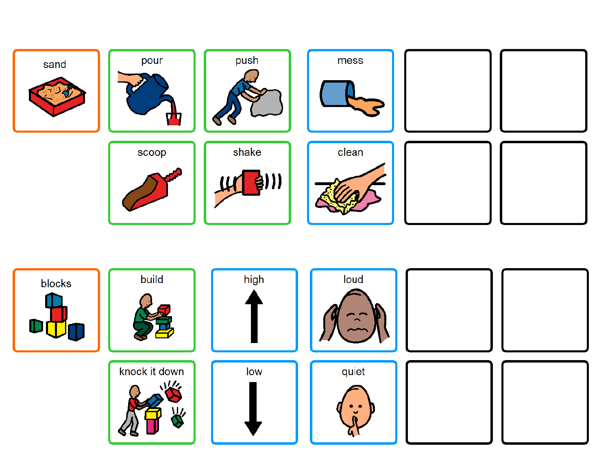

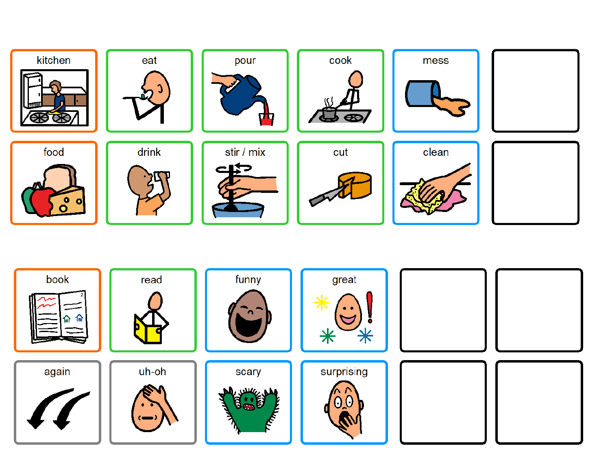

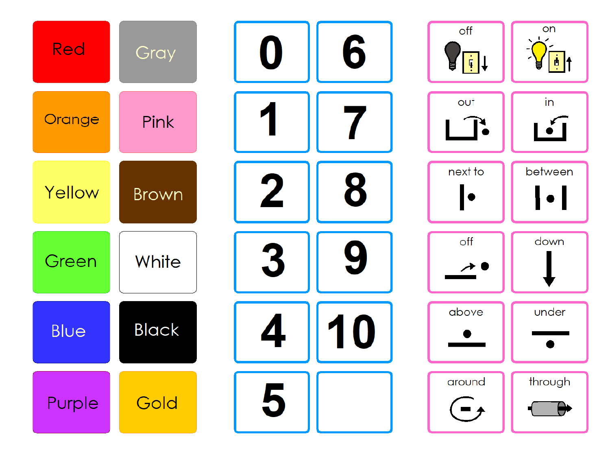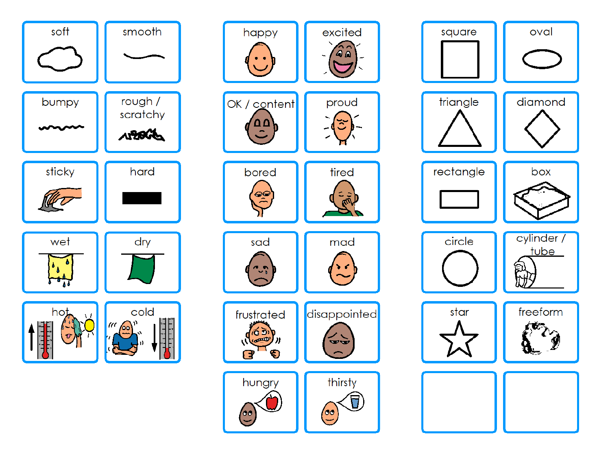